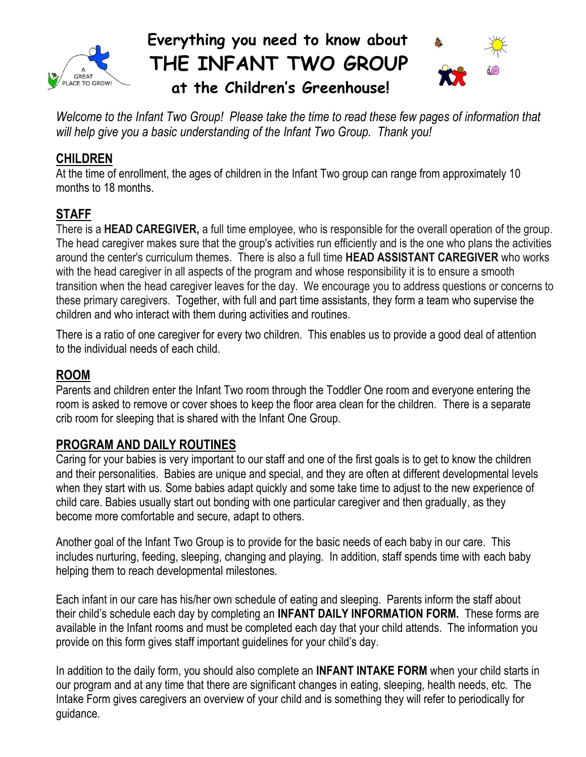

## **Everything you need to know about THE INFANT TWO GROUP**



 **at the Children's Greenhouse!**

*Welcome to the Infant Two Group! Please take the time to read these few pages of information that will help give you a basic understanding of the Infant Two Group. Thank you!*

## **CHILDREN**

At the time of enrollment, the ages of children in the Infant Two group can range from approximately 10 months to 18 months.

## **STAFF**

There is a **HEAD CAREGIVER,** a full time employee, who is responsible for the overall operation of the group. The head caregiver makes sure that the group's activities run efficiently and is the one who plans the activities around the center's curriculum themes. There is also a full time **HEAD ASSISTANT CAREGIVER** who works with the head caregiver in all aspects of the program and whose responsibility it is to ensure a smooth transition when the head caregiver leaves for the day. We encourage you to address questions or concerns to these primary caregivers. Together, with full and part time assistants, they form a team who supervise the children and who interact with them during activities and routines.

There is a ratio of one caregiver for every two children. This enables us to provide a good deal of attention to the individual needs of each child.

#### **ROOM**

Parents and children enter the Infant Two room through the Toddler One room and everyone entering the room is asked to remove or cover shoes to keep the floor area clean for the children. There is a separate crib room for sleeping that is shared with the Infant One Group.

#### **PROGRAM AND DAILY ROUTINES**

Caring for your babies is very important to our staff and one of the first goals is to get to know the children and their personalities. Babies are unique and special, and they are often at different developmental levels when they start with us. Some babies adapt quickly and some take time to adjust to the new experience of child care. Babies usually start out bonding with one particular caregiver and then gradually, as they become more comfortable and secure, adapt to others.

Another goal of the Infant Two Group is to provide for the basic needs of each baby in our care. This includes nurturing, feeding, sleeping, changing and playing. In addition, staff spends time with each baby helping them to reach developmental milestones.

Each infant in our care has his/her own schedule of eating and sleeping. Parents inform the staff about their child's schedule each day by completing an **INFANT DAILY INFORMATION FORM.** These forms are available in the Infant rooms and must be completed each day that your child attends. The information you provide on this form gives staff important guidelines for your child's day.

In addition to the daily form, you should also complete an **INFANT INTAKE FORM** when your child starts in our program and at any time that there are significant changes in eating, sleeping, health needs, etc. The Intake Form gives caregivers an overview of your child and is something they will refer to periodically for guidance.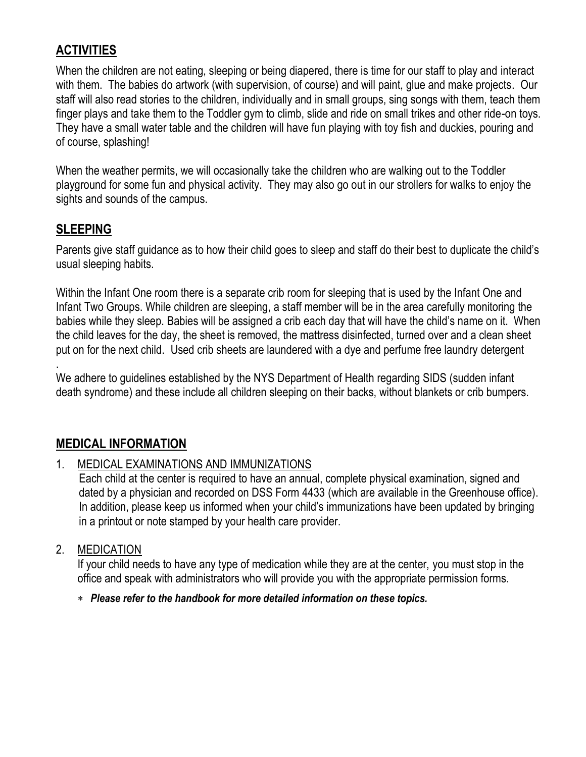#### **ACTIVITIES**

When the children are not eating, sleeping or being diapered, there is time for our staff to play and interact with them. The babies do artwork (with supervision, of course) and will paint, glue and make projects. Our staff will also read stories to the children, individually and in small groups, sing songs with them, teach them finger plays and take them to the Toddler gym to climb, slide and ride on small trikes and other ride-on toys. They have a small water table and the children will have fun playing with toy fish and duckies, pouring and of course, splashing!

When the weather permits, we will occasionally take the children who are walking out to the Toddler playground for some fun and physical activity. They may also go out in our strollers for walks to enjoy the sights and sounds of the campus.

#### **SLEEPING**

Parents give staff guidance as to how their child goes to sleep and staff do their best to duplicate the child's usual sleeping habits.

Within the Infant One room there is a separate crib room for sleeping that is used by the Infant One and Infant Two Groups. While children are sleeping, a staff member will be in the area carefully monitoring the babies while they sleep. Babies will be assigned a crib each day that will have the child's name on it. When the child leaves for the day, the sheet is removed, the mattress disinfected, turned over and a clean sheet put on for the next child. Used crib sheets are laundered with a dye and perfume free laundry detergent

. We adhere to guidelines established by the NYS Department of Health regarding SIDS (sudden infant death syndrome) and these include all children sleeping on their backs, without blankets or crib bumpers.

#### **MEDICAL INFORMATION**

#### 1. MEDICAL EXAMINATIONS AND IMMUNIZATIONS

Each child at the center is required to have an annual, complete physical examination, signed and dated by a physician and recorded on DSS Form 4433 (which are available in the Greenhouse office). In addition, please keep us informed when your child's immunizations have been updated by bringing in a printout or note stamped by your health care provider.

#### 2. MEDICATION

If your child needs to have any type of medication while they are at the center, you must stop in the office and speak with administrators who will provide you with the appropriate permission forms.

#### *Please refer to the handbook for more detailed information on these topics.*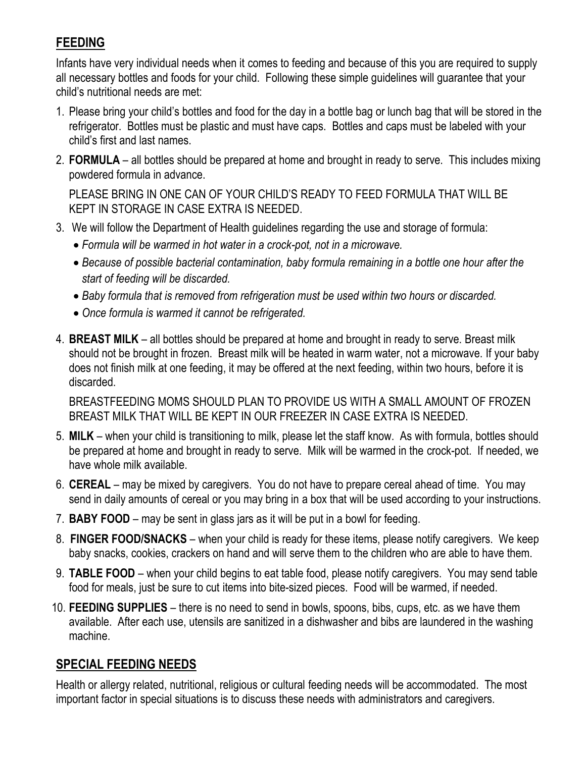## **FEEDING**

Infants have very individual needs when it comes to feeding and because of this you are required to supply all necessary bottles and foods for your child. Following these simple guidelines will guarantee that your child's nutritional needs are met:

- 1. Please bring your child's bottles and food for the day in a bottle bag or lunch bag that will be stored in the refrigerator. Bottles must be plastic and must have caps. Bottles and caps must be labeled with your child's first and last names.
- 2. **FORMULA** all bottles should be prepared at home and brought in ready to serve. This includes mixing powdered formula in advance.

PLEASE BRING IN ONE CAN OF YOUR CHILD'S READY TO FEED FORMULA THAT WILL BE KEPT IN STORAGE IN CASE EXTRA IS NEEDED.

- 3. We will follow the Department of Health guidelines regarding the use and storage of formula:
	- *Formula will be warmed in hot water in a crock-pot, not in a microwave.*
	- *Because of possible bacterial contamination, baby formula remaining in a bottle one hour after the start of feeding will be discarded.*
	- *Baby formula that is removed from refrigeration must be used within two hours or discarded.*
	- *Once formula is warmed it cannot be refrigerated.*
- 4. **BREAST MILK** all bottles should be prepared at home and brought in ready to serve. Breast milk should not be brought in frozen. Breast milk will be heated in warm water, not a microwave. If your baby does not finish milk at one feeding, it may be offered at the next feeding, within two hours, before it is discarded.

BREASTFEEDING MOMS SHOULD PLAN TO PROVIDE US WITH A SMALL AMOUNT OF FROZEN BREAST MILK THAT WILL BE KEPT IN OUR FREEZER IN CASE EXTRA IS NEEDED.

- 5. **MILK** when your child is transitioning to milk, please let the staff know. As with formula, bottles should be prepared at home and brought in ready to serve. Milk will be warmed in the crock-pot. If needed, we have whole milk available.
- 6. **CEREAL** may be mixed by caregivers. You do not have to prepare cereal ahead of time. You may send in daily amounts of cereal or you may bring in a box that will be used according to your instructions.
- 7. **BABY FOOD** may be sent in glass jars as it will be put in a bowl for feeding.
- 8. **FINGER FOOD/SNACKS** when your child is ready for these items, please notify caregivers. We keep baby snacks, cookies, crackers on hand and will serve them to the children who are able to have them.
- 9. **TABLE FOOD** when your child begins to eat table food, please notify caregivers. You may send table food for meals, just be sure to cut items into bite-sized pieces. Food will be warmed, if needed.
- 10. **FEEDING SUPPLIES** there is no need to send in bowls, spoons, bibs, cups, etc. as we have them available. After each use, utensils are sanitized in a dishwasher and bibs are laundered in the washing machine.

#### **SPECIAL FEEDING NEEDS**

Health or allergy related, nutritional, religious or cultural feeding needs will be accommodated. The most important factor in special situations is to discuss these needs with administrators and caregivers.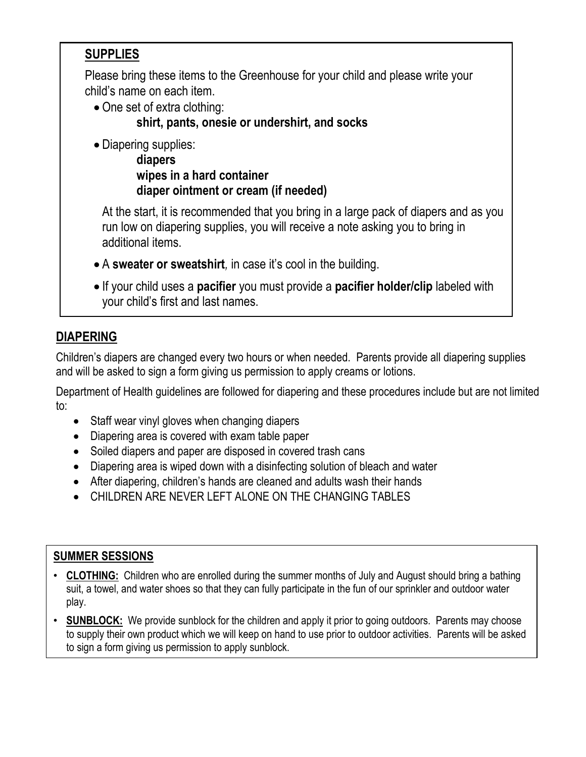## **SUPPLIES**

Please bring these items to the Greenhouse for your child and please write your child's name on each item.

• One set of extra clothing:

**shirt, pants, onesie or undershirt, and socks**

• Diapering supplies:

**diapers wipes in a hard container diaper ointment or cream (if needed)**

At the start, it is recommended that you bring in a large pack of diapers and as you run low on diapering supplies, you will receive a note asking you to bring in additional items.

- A **sweater or sweatshirt***,* in case it's cool in the building.
- If your child uses a **pacifier** you must provide a **pacifier holder/clip** labeled with your child's first and last names.

## **DIAPERING**

Children's diapers are changed every two hours or when needed. Parents provide all diapering supplies and will be asked to sign a form giving us permission to apply creams or lotions.

Department of Health guidelines are followed for diapering and these procedures include but are not limited to:

- Staff wear vinyl gloves when changing diapers
- Diapering area is covered with exam table paper
- Soiled diapers and paper are disposed in covered trash cans
- Diapering area is wiped down with a disinfecting solution of bleach and water
- After diapering, children's hands are cleaned and adults wash their hands
- CHILDREN ARE NEVER LEFT ALONE ON THE CHANGING TABLES

#### **SUMMER SESSIONS**

- **CLOTHING:** Children who are enrolled during the summer months of July and August should bring a bathing suit, a towel, and water shoes so that they can fully participate in the fun of our sprinkler and outdoor water play.
- **SUNBLOCK:** We provide sunblock for the children and apply it prior to going outdoors. Parents may choose to supply their own product which we will keep on hand to use prior to outdoor activities. Parents will be asked to sign a form giving us permission to apply sunblock.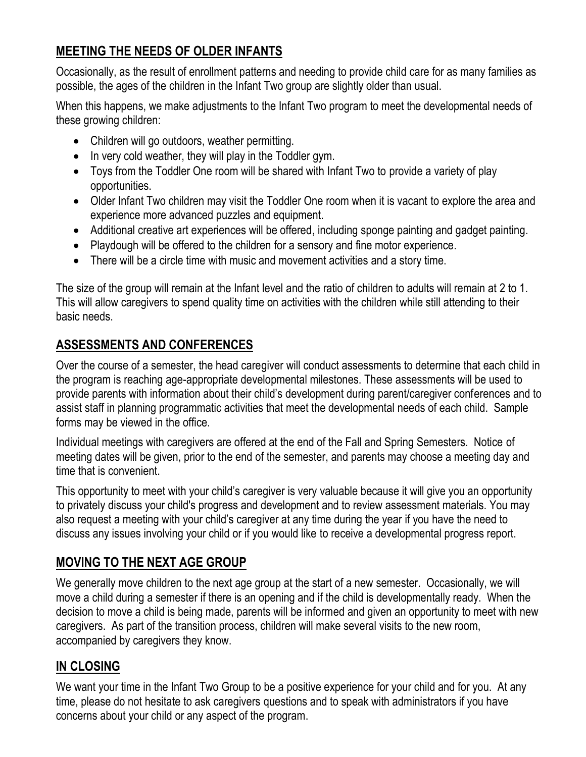## **MEETING THE NEEDS OF OLDER INFANTS**

Occasionally, as the result of enrollment patterns and needing to provide child care for as many families as possible, the ages of the children in the Infant Two group are slightly older than usual.

When this happens, we make adjustments to the Infant Two program to meet the developmental needs of these growing children:

- Children will go outdoors, weather permitting.
- In very cold weather, they will play in the Toddler gym.
- Toys from the Toddler One room will be shared with Infant Two to provide a variety of play opportunities.
- Older Infant Two children may visit the Toddler One room when it is vacant to explore the area and experience more advanced puzzles and equipment.
- Additional creative art experiences will be offered, including sponge painting and gadget painting.
- Playdough will be offered to the children for a sensory and fine motor experience.
- There will be a circle time with music and movement activities and a story time.

The size of the group will remain at the Infant level and the ratio of children to adults will remain at 2 to 1. This will allow caregivers to spend quality time on activities with the children while still attending to their basic needs.

## **ASSESSMENTS AND CONFERENCES**

Over the course of a semester, the head caregiver will conduct assessments to determine that each child in the program is reaching age-appropriate developmental milestones. These assessments will be used to provide parents with information about their child's development during parent/caregiver conferences and to assist staff in planning programmatic activities that meet the developmental needs of each child. Sample forms may be viewed in the office.

Individual meetings with caregivers are offered at the end of the Fall and Spring Semesters. Notice of meeting dates will be given, prior to the end of the semester, and parents may choose a meeting day and time that is convenient.

This opportunity to meet with your child's caregiver is very valuable because it will give you an opportunity to privately discuss your child's progress and development and to review assessment materials. You may also request a meeting with your child's caregiver at any time during the year if you have the need to discuss any issues involving your child or if you would like to receive a developmental progress report.

## **MOVING TO THE NEXT AGE GROUP**

We generally move children to the next age group at the start of a new semester. Occasionally, we will move a child during a semester if there is an opening and if the child is developmentally ready. When the decision to move a child is being made, parents will be informed and given an opportunity to meet with new caregivers. As part of the transition process, children will make several visits to the new room, accompanied by caregivers they know.

## **IN CLOSING**

We want your time in the Infant Two Group to be a positive experience for your child and for you. At any time, please do not hesitate to ask caregivers questions and to speak with administrators if you have concerns about your child or any aspect of the program.